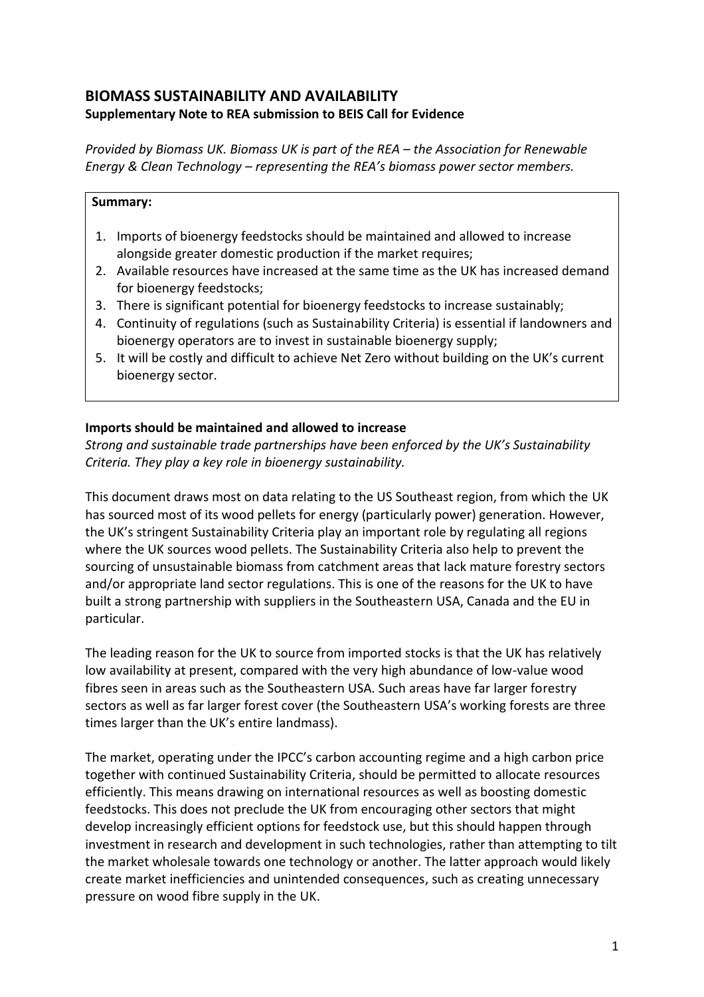# **BIOMASS SUSTAINABILITY AND AVAILABILITY Supplementary Note to REA submission to BEIS Call for Evidence**

*Provided by Biomass UK. Biomass UK is part of the REA – the Association for Renewable Energy & Clean Technology – representing the REA's biomass power sector members.*

#### **Summary:**

- 1. Imports of bioenergy feedstocks should be maintained and allowed to increase alongside greater domestic production if the market requires;
- 2. Available resources have increased at the same time as the UK has increased demand for bioenergy feedstocks;
- 3. There is significant potential for bioenergy feedstocks to increase sustainably;
- 4. Continuity of regulations (such as Sustainability Criteria) is essential if landowners and bioenergy operators are to invest in sustainable bioenergy supply;
- 5. It will be costly and difficult to achieve Net Zero without building on the UK's current bioenergy sector.

# **Imports should be maintained and allowed to increase**

*Strong and sustainable trade partnerships have been enforced by the UK's Sustainability Criteria. They play a key role in bioenergy sustainability.*

This document draws most on data relating to the US Southeast region, from which the UK has sourced most of its wood pellets for energy (particularly power) generation. However, the UK's stringent Sustainability Criteria play an important role by regulating all regions where the UK sources wood pellets. The Sustainability Criteria also help to prevent the sourcing of unsustainable biomass from catchment areas that lack mature forestry sectors and/or appropriate land sector regulations. This is one of the reasons for the UK to have built a strong partnership with suppliers in the Southeastern USA, Canada and the EU in particular.

The leading reason for the UK to source from imported stocks is that the UK has relatively low availability at present, compared with the very high abundance of low-value wood fibres seen in areas such as the Southeastern USA. Such areas have far larger forestry sectors as well as far larger forest cover (the Southeastern USA's working forests are three times larger than the UK's entire landmass).

The market, operating under the IPCC's carbon accounting regime and a high carbon price together with continued Sustainability Criteria, should be permitted to allocate resources efficiently. This means drawing on international resources as well as boosting domestic feedstocks. This does not preclude the UK from encouraging other sectors that might develop increasingly efficient options for feedstock use, but this should happen through investment in research and development in such technologies, rather than attempting to tilt the market wholesale towards one technology or another. The latter approach would likely create market inefficiencies and unintended consequences, such as creating unnecessary pressure on wood fibre supply in the UK.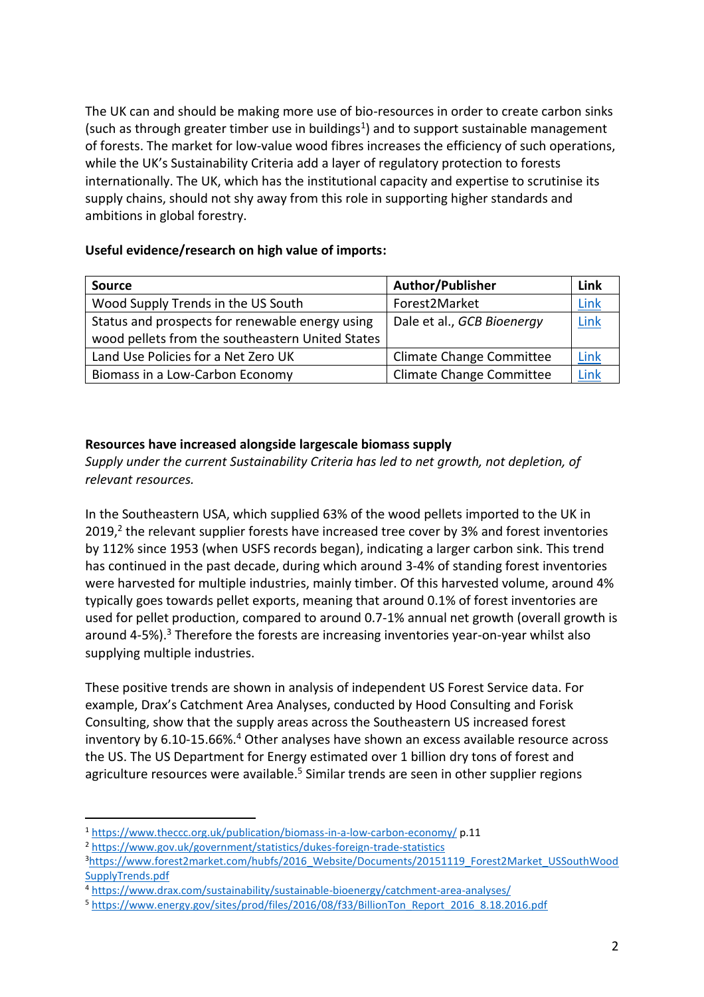The UK can and should be making more use of bio-resources in order to create carbon sinks (such as through greater timber use in buildings<sup>1</sup>) and to support sustainable management of forests. The market for low-value wood fibres increases the efficiency of such operations, while the UK's Sustainability Criteria add a layer of regulatory protection to forests internationally. The UK, which has the institutional capacity and expertise to scrutinise its supply chains, should not shy away from this role in supporting higher standards and ambitions in global forestry.

## **Useful evidence/research on high value of imports:**

| <b>Source</b>                                    | <b>Author/Publisher</b>         | Link |
|--------------------------------------------------|---------------------------------|------|
| Wood Supply Trends in the US South               | Forest2Market                   | Link |
| Status and prospects for renewable energy using  | Dale et al., GCB Bioenergy      | Link |
| wood pellets from the southeastern United States |                                 |      |
| Land Use Policies for a Net Zero UK              | <b>Climate Change Committee</b> | Link |
| Biomass in a Low-Carbon Economy                  | <b>Climate Change Committee</b> | Link |

## **Resources have increased alongside largescale biomass supply**

*Supply under the current Sustainability Criteria has led to net growth, not depletion, of relevant resources.*

In the Southeastern USA, which supplied 63% of the wood pellets imported to the UK in 2019,<sup>2</sup> the relevant supplier forests have increased tree cover by 3% and forest inventories by 112% since 1953 (when USFS records began), indicating a larger carbon sink. This trend has continued in the past decade, during which around 3-4% of standing forest inventories were harvested for multiple industries, mainly timber. Of this harvested volume, around 4% typically goes towards pellet exports, meaning that around 0.1% of forest inventories are used for pellet production, compared to around 0.7-1% annual net growth (overall growth is around 4-5%).<sup>3</sup> Therefore the forests are increasing inventories year-on-year whilst also supplying multiple industries.

These positive trends are shown in analysis of independent US Forest Service data. For example, Drax's Catchment Area Analyses, conducted by Hood Consulting and Forisk Consulting, show that the supply areas across the Southeastern US increased forest inventory by 6.10-15.66%.<sup>4</sup> Other analyses have shown an excess available resource across the US. The US Department for Energy estimated over 1 billion dry tons of forest and agriculture resources were available.<sup>5</sup> Similar trends are seen in other supplier regions

<sup>1</sup> <https://www.theccc.org.uk/publication/biomass-in-a-low-carbon-economy/> p.11

<sup>2</sup> <https://www.gov.uk/government/statistics/dukes-foreign-trade-statistics>

<sup>3</sup>[https://www.forest2market.com/hubfs/2016\\_Website/Documents/20151119\\_Forest2Market\\_USSouthWood](https://www.forest2market.com/hubfs/2016_Website/Documents/20151119_Forest2Market_USSouthWoodSupplyTrends.pdf) [SupplyTrends.pdf](https://www.forest2market.com/hubfs/2016_Website/Documents/20151119_Forest2Market_USSouthWoodSupplyTrends.pdf)

<sup>4</sup> <https://www.drax.com/sustainability/sustainable-bioenergy/catchment-area-analyses/>

<sup>5</sup> [https://www.energy.gov/sites/prod/files/2016/08/f33/BillionTon\\_Report\\_2016\\_8.18.2016.pdf](https://www.energy.gov/sites/prod/files/2016/08/f33/BillionTon_Report_2016_8.18.2016.pdf)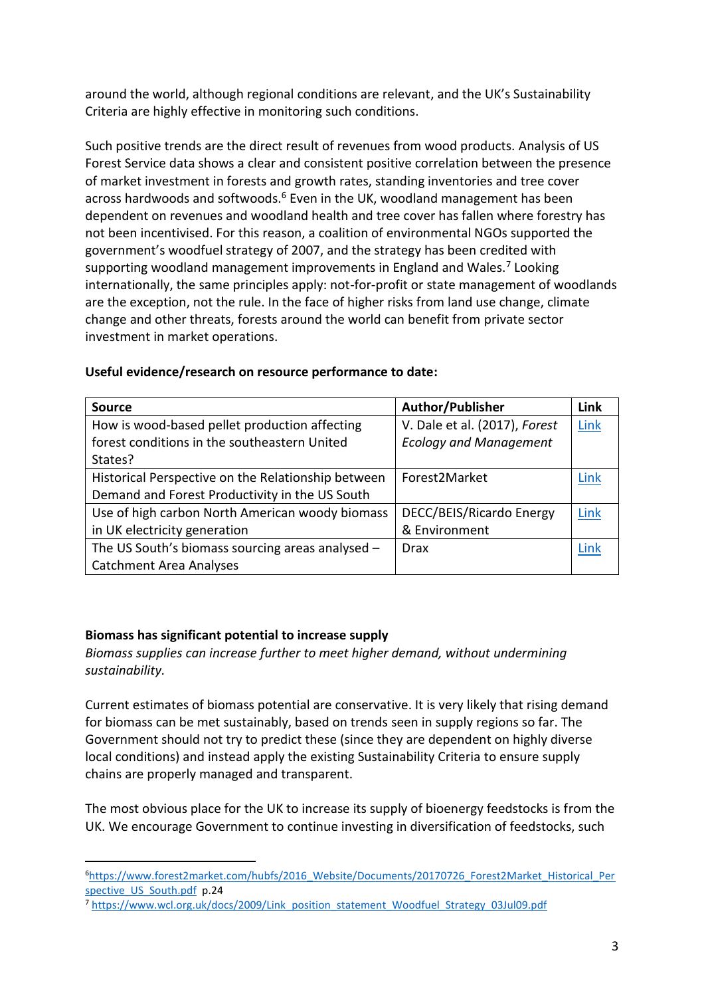around the world, although regional conditions are relevant, and the UK's Sustainability Criteria are highly effective in monitoring such conditions.

Such positive trends are the direct result of revenues from wood products. Analysis of US Forest Service data shows a clear and consistent positive correlation between the presence of market investment in forests and growth rates, standing inventories and tree cover across hardwoods and softwoods.<sup>6</sup> Even in the UK, woodland management has been dependent on revenues and woodland health and tree cover has fallen where forestry has not been incentivised. For this reason, a coalition of environmental NGOs supported the government's woodfuel strategy of 2007, and the strategy has been credited with supporting woodland management improvements in England and Wales.<sup>7</sup> Looking internationally, the same principles apply: not-for-profit or state management of woodlands are the exception, not the rule. In the face of higher risks from land use change, climate change and other threats, forests around the world can benefit from private sector investment in market operations.

| <b>Source</b>                                      | Author/Publisher              | Link |
|----------------------------------------------------|-------------------------------|------|
| How is wood-based pellet production affecting      | V. Dale et al. (2017), Forest | Link |
| forest conditions in the southeastern United       | <b>Ecology and Management</b> |      |
| States?                                            |                               |      |
| Historical Perspective on the Relationship between | Forest2Market                 | Link |
| Demand and Forest Productivity in the US South     |                               |      |
| Use of high carbon North American woody biomass    | DECC/BEIS/Ricardo Energy      | Link |
| in UK electricity generation                       | & Environment                 |      |
| The US South's biomass sourcing areas analysed -   | <b>Drax</b>                   | Link |
| <b>Catchment Area Analyses</b>                     |                               |      |

#### **Useful evidence/research on resource performance to date:**

## **Biomass has significant potential to increase supply**

*Biomass supplies can increase further to meet higher demand, without undermining sustainability.*

Current estimates of biomass potential are conservative. It is very likely that rising demand for biomass can be met sustainably, based on trends seen in supply regions so far. The Government should not try to predict these (since they are dependent on highly diverse local conditions) and instead apply the existing Sustainability Criteria to ensure supply chains are properly managed and transparent.

The most obvious place for the UK to increase its supply of bioenergy feedstocks is from the UK. We encourage Government to continue investing in diversification of feedstocks, such

<sup>6</sup>[https://www.forest2market.com/hubfs/2016\\_Website/Documents/20170726\\_Forest2Market\\_Historical\\_Per](https://www.forest2market.com/hubfs/2016_Website/Documents/20170726_Forest2Market_Historical_Perspective_US_South.pdf) spective US South.pdf p.24

<sup>7</sup> [https://www.wcl.org.uk/docs/2009/Link\\_position\\_statement\\_Woodfuel\\_Strategy\\_03Jul09.pdf](https://www.wcl.org.uk/docs/2009/Link_position_statement_Woodfuel_Strategy_03Jul09.pdf)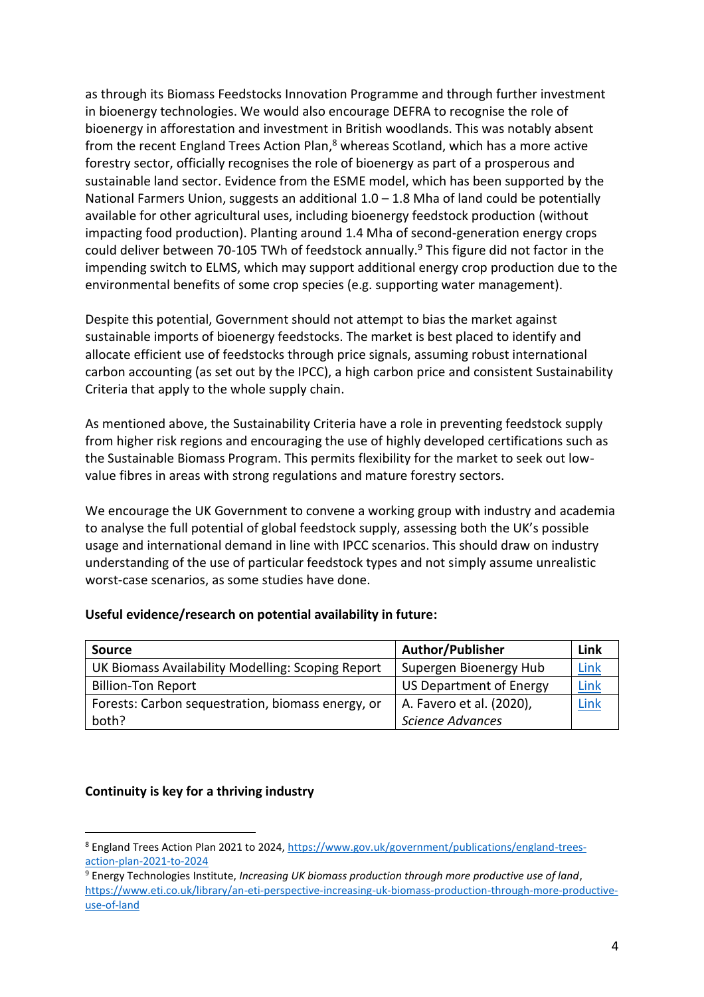as through its Biomass Feedstocks Innovation Programme and through further investment in bioenergy technologies. We would also encourage DEFRA to recognise the role of bioenergy in afforestation and investment in British woodlands. This was notably absent from the recent England Trees Action Plan,<sup>8</sup> whereas Scotland, which has a more active forestry sector, officially recognises the role of bioenergy as part of a prosperous and sustainable land sector. Evidence from the ESME model, which has been supported by the National Farmers Union, suggests an additional  $1.0 - 1.8$  Mha of land could be potentially available for other agricultural uses, including bioenergy feedstock production (without impacting food production). Planting around 1.4 Mha of second-generation energy crops could deliver between 70-105 TWh of feedstock annually. <sup>9</sup> This figure did not factor in the impending switch to ELMS, which may support additional energy crop production due to the environmental benefits of some crop species (e.g. supporting water management).

Despite this potential, Government should not attempt to bias the market against sustainable imports of bioenergy feedstocks. The market is best placed to identify and allocate efficient use of feedstocks through price signals, assuming robust international carbon accounting (as set out by the IPCC), a high carbon price and consistent Sustainability Criteria that apply to the whole supply chain.

As mentioned above, the Sustainability Criteria have a role in preventing feedstock supply from higher risk regions and encouraging the use of highly developed certifications such as the Sustainable Biomass Program. This permits flexibility for the market to seek out lowvalue fibres in areas with strong regulations and mature forestry sectors.

We encourage the UK Government to convene a working group with industry and academia to analyse the full potential of global feedstock supply, assessing both the UK's possible usage and international demand in line with IPCC scenarios. This should draw on industry understanding of the use of particular feedstock types and not simply assume unrealistic worst-case scenarios, as some studies have done.

| <b>Source</b>                                     | <b>Author/Publisher</b>  | Link |
|---------------------------------------------------|--------------------------|------|
| UK Biomass Availability Modelling: Scoping Report | Supergen Bioenergy Hub   | Link |
| <b>Billion-Ton Report</b>                         | US Department of Energy  | Link |
| Forests: Carbon sequestration, biomass energy, or | A. Favero et al. (2020), | Link |
| both?                                             | <b>Science Advances</b>  |      |

#### **Useful evidence/research on potential availability in future:**

#### **Continuity is key for a thriving industry**

<sup>8</sup> England Trees Action Plan 2021 to 2024, [https://www.gov.uk/government/publications/england-trees](https://www.gov.uk/government/publications/england-trees-action-plan-2021-to-2024)[action-plan-2021-to-2024](https://www.gov.uk/government/publications/england-trees-action-plan-2021-to-2024)

<sup>9</sup> Energy Technologies Institute, *Increasing UK biomass production through more productive use of land*, [https://www.eti.co.uk/library/an-eti-perspective-increasing-uk-biomass-production-through-more-productive](https://www.eti.co.uk/library/an-eti-perspective-increasing-uk-biomass-production-through-more-productive-use-of-land)[use-of-land](https://www.eti.co.uk/library/an-eti-perspective-increasing-uk-biomass-production-through-more-productive-use-of-land)